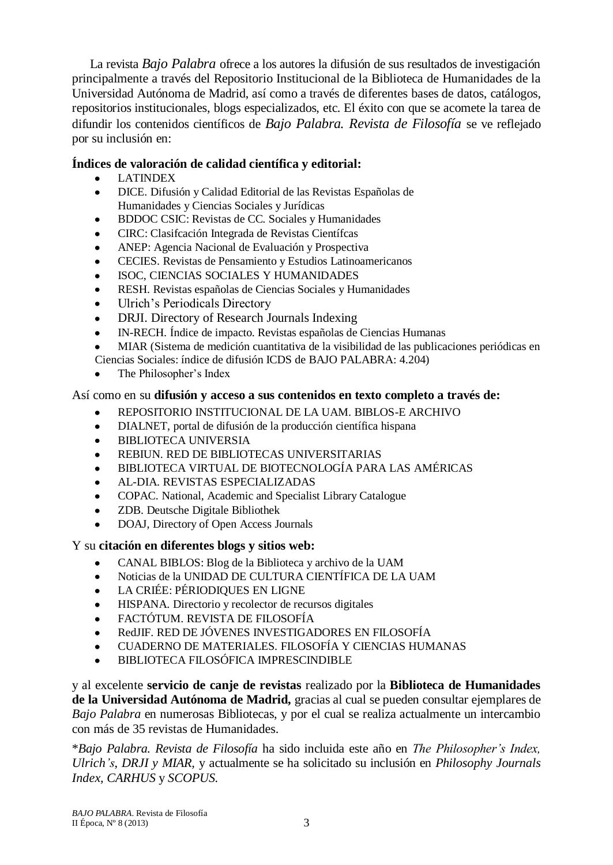La revista *Bajo Palabra* ofrece a los autores la difusión de sus resultados de investigación principalmente a través del Repositorio Institucional de la Biblioteca de Humanidades de la Universidad Autónoma de Madrid, así como a través de diferentes bases de datos, catálogos, repositorios institucionales, blogs especializados, etc. El éxito con que se acomete la tarea de difundir los contenidos científicos de *Bajo Palabra. Revista de Filosofía* se ve reflejado por su inclusión en:

#### **Índices de valoración de calidad científica y editorial:**

- LATINDEX
- DICE. Difusión y Calidad Editorial de las Revistas Españolas de  $\bullet$ Humanidades y Ciencias Sociales y Jurídicas
- BDDOC CSIC: Revistas de CC. Sociales y Humanidades
- CIRC: Clasifcación Integrada de Revistas Científcas
- ANEP: Agencia Nacional de Evaluación y Prospectiva
- CECIES. Revistas de Pensamiento y Estudios Latinoamericanos
- ISOC, CIENCIAS SOCIALES Y HUMANIDADES
- RESH. Revistas españolas de Ciencias Sociales y Humanidades
- Ulrich's Periodicals Directory
- DRJI. Directory of Research Journals Indexing
- IN-RECH. Índice de impacto. Revistas españolas de Ciencias Humanas
- MIAR (Sistema de medición cuantitativa de la visibilidad de las publicaciones periódicas en
- Ciencias Sociales: índice de difusión ICDS de BAJO PALABRA: 4.204)
- The Philosopher's Index

### Así como en su **difusión y acceso a sus contenidos en texto completo a través de:**

- REPOSITORIO INSTITUCIONAL DE LA UAM. BIBLOS-E ARCHIVO
- DIALNET, portal de difusión de la producción científica hispana
- BIBLIOTECA UNIVERSIA
- REBIUN. RED DE BIBLIOTECAS UNIVERSITARIAS
- BIBLIOTECA VIRTUAL DE BIOTECNOLOGÍA PARA LAS AMÉRICAS
- AL-DIA. REVISTAS ESPECIALIZADAS
- COPAC. [National, Academic and Specialist Library Catalogue](http://copac.ac.uk/)
- ZDB. [Deutsche Digitale Bibliothek](http://dispatch.opac.ddb.de/DB=1.1/FKT=8/FRM=1695-6141/IMPLAND=Y/LNG=DU/LRSET=1/SET=1/SID=d30e1a81-10/SRT=YOP/TTL=1/CMD?ACT=SRCHA&IKT=8&SRT=YOP&TRM=0212-4068)
- DOAJ, Directory of Open Access Journals

# Y su **citación en diferentes blogs y sitios web:**

- CANAL BIBLOS: Blog de la Biblioteca y archivo de la UAM
- Noticias de la UNIDAD DE CULTURA CIENTÍFICA DE LA UAM
- $\bullet$ LA CRIÉE: PÉRIODIQUES EN LIGNE
- HISPANA. Directorio y recolector de recursos digitales  $\bullet$
- FACTÓTUM. REVISTA DE FILOSOFÍA  $\bullet$
- RedJIF. RED DE JÓVENES INVESTIGADORES EN FILOSOFÍA
- CUADERNO DE MATERIALES. FILOSOFÍA Y CIENCIAS HUMANAS
- BIBLIOTECA FILOSÓFICA IMPRESCINDIBLE

y al excelente **servicio de canje de revistas** realizado por la **Biblioteca de Humanidades de la Universidad Autónoma de Madrid,** gracias al cual se pueden consultar ejemplares de *Bajo Palabra* en numerosas Bibliotecas, y por el cual se realiza actualmente un intercambio con más de 35 revistas de Humanidades.

\**Bajo Palabra. Revista de Filosofía* ha sido incluida este año en *The Philosopher's Index, Ulrich's*, *DRJI y MIAR,* y actualmente se ha solicitado su inclusión en *Philosophy Journals Index, CARHUS* y *SCOPUS.*